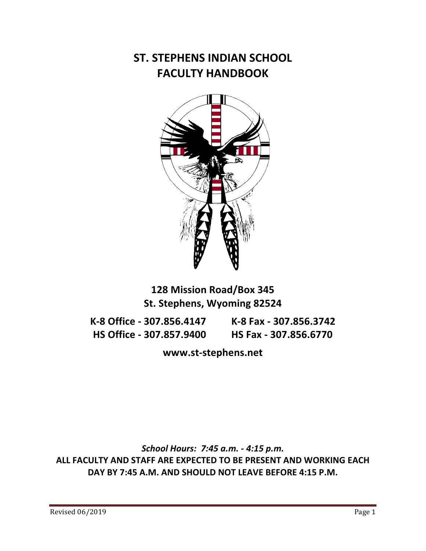#### **ST. STEPHENS INDIAN SCHOOL FACULTY HANDBOOK**



#### **128 Mission Road/Box 345 St. Stephens, Wyoming 82524**

**K-8 Office - 307.856.4147 K-8 Fax - 307.856.3742 HS\$Office\$M 307.857.9400\$\$\$\$\$\$\$\$\$\$HS\$Fax\$M 307.856.6770**

www.st-stephens.net

*School Hours: 7:45 a.m. - 4:15 p.m.* ALL FACULTY AND STAFF ARE EXPECTED TO BE PRESENT AND WORKING EACH DAY BY 7:45 A.M. AND SHOULD NOT LEAVE BEFORE 4:15 P.M.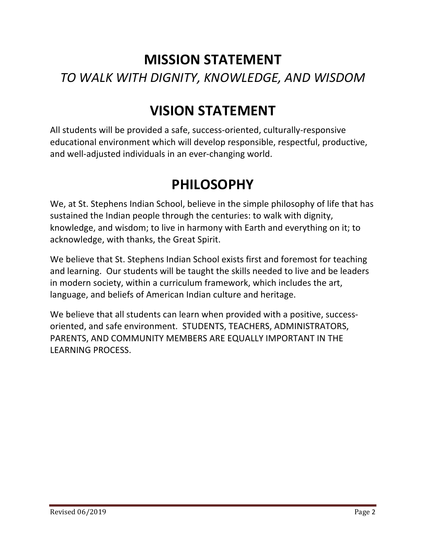# **MISSION STATEMENT** *TO#WALK#WITH#DIGNITY,#KNOWLEDGE,#AND#WISDOM*

# **VISION\$STATEMENT**

All students will be provided a safe, success-oriented, culturally-responsive educational environment which will develop responsible, respectful, productive, and well-adjusted individuals in an ever-changing world.

# **PHILOSOPHY**

We, at St. Stephens Indian School, believe in the simple philosophy of life that has sustained the Indian people through the centuries: to walk with dignity, knowledge, and wisdom; to live in harmony with Earth and everything on it; to acknowledge, with thanks, the Great Spirit.

We believe that St. Stephens Indian School exists first and foremost for teaching and learning. Our students will be taught the skills needed to live and be leaders in modern society, within a curriculum framework, which includes the art, language, and beliefs of American Indian culture and heritage.

We believe that all students can learn when provided with a positive, successoriented, and safe environment. STUDENTS, TEACHERS, ADMINISTRATORS, PARENTS, AND COMMUNITY MEMBERS ARE EQUALLY IMPORTANT IN THE LEARNING PROCESS.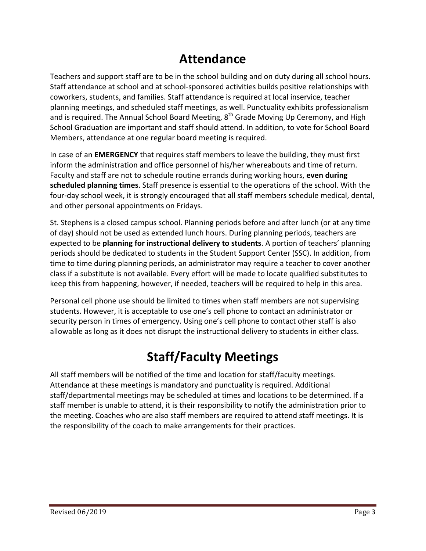#### **Attendance**

Teachers and support staff are to be in the school building and on duty during all school hours. Staff attendance at school and at school-sponsored activities builds positive relationships with coworkers, students, and families. Staff attendance is required at local inservice, teacher planning meetings, and scheduled staff meetings, as well. Punctuality exhibits professionalism and is required. The Annual School Board Meeting,  $8<sup>th</sup>$  Grade Moving Up Ceremony, and High School Graduation are important and staff should attend. In addition, to vote for School Board Members, attendance at one regular board meeting is required.

In case of an **EMERGENCY** that requires staff members to leave the building, they must first inform the administration and office personnel of his/her whereabouts and time of return. Faculty and staff are not to schedule routine errands during working hours, even during scheduled planning times. Staff presence is essential to the operations of the school. With the four-day school week, it is strongly encouraged that all staff members schedule medical, dental, and other personal appointments on Fridays.

St. Stephens is a closed campus school. Planning periods before and after lunch (or at any time of day) should not be used as extended lunch hours. During planning periods, teachers are expected to be **planning for instructional delivery to students**. A portion of teachers' planning periods should be dedicated to students in the Student Support Center (SSC). In addition, from time to time during planning periods, an administrator may require a teacher to cover another class if a substitute is not available. Every effort will be made to locate qualified substitutes to keep this from happening, however, if needed, teachers will be required to help in this area.

Personal cell phone use should be limited to times when staff members are not supervising students. However, it is acceptable to use one's cell phone to contact an administrator or security person in times of emergency. Using one's cell phone to contact other staff is also allowable as long as it does not disrupt the instructional delivery to students in either class.

# **Staff/Faculty Meetings**

All staff members will be notified of the time and location for staff/faculty meetings. Attendance at these meetings is mandatory and punctuality is required. Additional staff/departmental meetings may be scheduled at times and locations to be determined. If a staff member is unable to attend, it is their responsibility to notify the administration prior to the meeting. Coaches who are also staff members are required to attend staff meetings. It is the responsibility of the coach to make arrangements for their practices.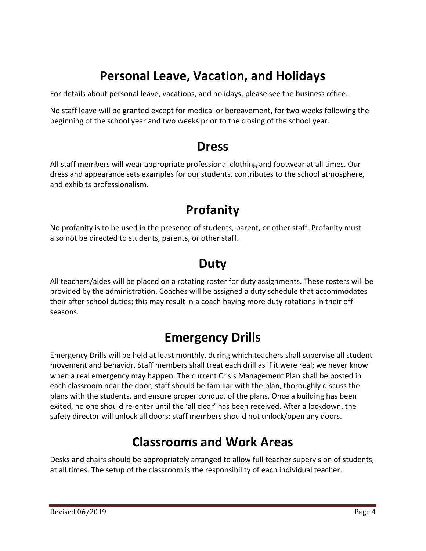## **Personal Leave, Vacation, and Holidays**

For details about personal leave, vacations, and holidays, please see the business office.

No staff leave will be granted except for medical or bereavement, for two weeks following the beginning of the school year and two weeks prior to the closing of the school year.

#### **Dress**

All staff members will wear appropriate professional clothing and footwear at all times. Our dress and appearance sets examples for our students, contributes to the school atmosphere, and exhibits professionalism.

## **Profanity**

No profanity is to be used in the presence of students, parent, or other staff. Profanity must also not be directed to students, parents, or other staff.

## **Duty**

All teachers/aides will be placed on a rotating roster for duty assignments. These rosters will be provided by the administration. Coaches will be assigned a duty schedule that accommodates their after school duties; this may result in a coach having more duty rotations in their off seasons.

## **Emergency\$Drills**

Emergency Drills will be held at least monthly, during which teachers shall supervise all student movement and behavior. Staff members shall treat each drill as if it were real; we never know when a real emergency may happen. The current Crisis Management Plan shall be posted in each classroom near the door, staff should be familiar with the plan, thoroughly discuss the plans with the students, and ensure proper conduct of the plans. Once a building has been exited, no one should re-enter until the 'all clear' has been received. After a lockdown, the safety director will unlock all doors; staff members should not unlock/open any doors.

#### **Classrooms\$and\$Work\$Areas**

Desks and chairs should be appropriately arranged to allow full teacher supervision of students, at all times. The setup of the classroom is the responsibility of each individual teacher.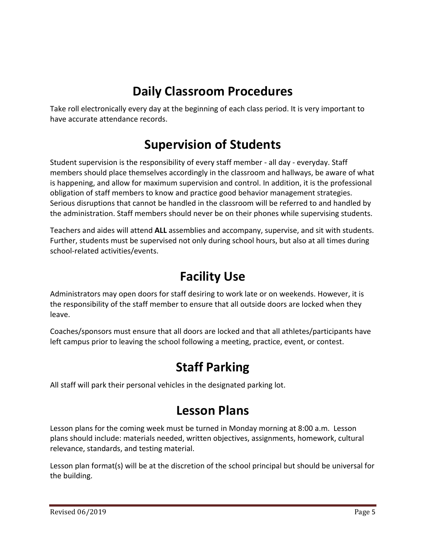# **Daily Classroom Procedures**

Take roll electronically every day at the beginning of each class period. It is very important to have accurate attendance records.

#### **Supervision of Students**

Student supervision is the responsibility of every staff member - all day - everyday. Staff members should place themselves accordingly in the classroom and hallways, be aware of what is happening, and allow for maximum supervision and control. In addition, it is the professional obligation of staff members to know and practice good behavior management strategies. Serious disruptions that cannot be handled in the classroom will be referred to and handled by the administration. Staff members should never be on their phones while supervising students.

Teachers and aides will attend **ALL** assemblies and accompany, supervise, and sit with students. Further, students must be supervised not only during school hours, but also at all times during school-related activities/events.

#### **Facility Use**

Administrators may open doors for staff desiring to work late or on weekends. However, it is the responsibility of the staff member to ensure that all outside doors are locked when they leave.

Coaches/sponsors must ensure that all doors are locked and that all athletes/participants have left campus prior to leaving the school following a meeting, practice, event, or contest.

## **Staff Parking**

All staff will park their personal vehicles in the designated parking lot.

## **Lesson\$Plans**

Lesson plans for the coming week must be turned in Monday morning at 8:00 a.m. Lesson plans should include: materials needed, written objectives, assignments, homework, cultural relevance, standards, and testing material.

Lesson plan format(s) will be at the discretion of the school principal but should be universal for the building.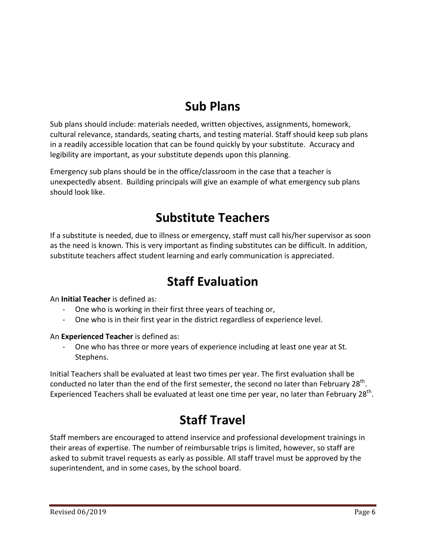# **Sub\$Plans**

Sub plans should include: materials needed, written objectives, assignments, homework, cultural relevance, standards, seating charts, and testing material. Staff should keep sub plans in a readily accessible location that can be found quickly by your substitute. Accuracy and legibility are important, as your substitute depends upon this planning.

Emergency sub plans should be in the office/classroom in the case that a teacher is unexpectedly absent. Building principals will give an example of what emergency sub plans should look like.

## **Substitute\$Teachers**

If a substitute is needed, due to illness or emergency, staff must call his/her supervisor as soon as the need is known. This is very important as finding substitutes can be difficult. In addition, substitute teachers affect student learning and early communication is appreciated.

#### **Staff Evaluation**

An **Initial Teacher** is defined as:

- One who is working in their first three years of teaching or,
- One who is in their first year in the district regardless of experience level.

#### An **Experienced Teacher** is defined as:

One who has three or more years of experience including at least one year at St. Stephens.

Initial Teachers shall be evaluated at least two times per year. The first evaluation shall be conducted no later than the end of the first semester, the second no later than February 28<sup>th</sup>. Experienced Teachers shall be evaluated at least one time per year, no later than February 28<sup>th</sup>.

## **Staff Travel**

Staff members are encouraged to attend inservice and professional development trainings in their areas of expertise. The number of reimbursable trips is limited, however, so staff are asked to submit travel requests as early as possible. All staff travel must be approved by the superintendent, and in some cases, by the school board.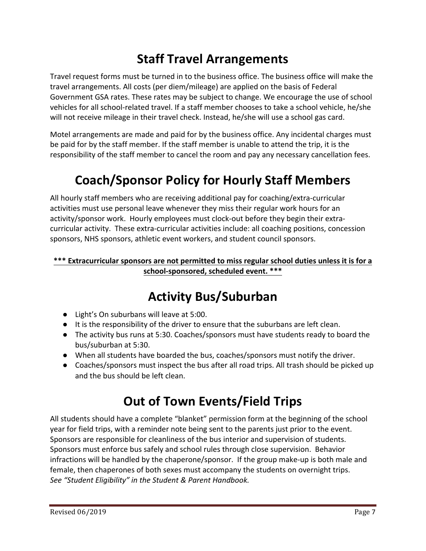## **Staff Travel Arrangements**

Travel request forms must be turned in to the business office. The business office will make the travel arrangements. All costs (per diem/mileage) are applied on the basis of Federal Government GSA rates. These rates may be subject to change. We encourage the use of school vehicles for all school-related travel. If a staff member chooses to take a school vehicle, he/she will not receive mileage in their travel check. Instead, he/she will use a school gas card.

Motel arrangements are made and paid for by the business office. Any incidental charges must be paid for by the staff member. If the staff member is unable to attend the trip, it is the responsibility of the staff member to cancel the room and pay any necessary cancellation fees.

# **Coach/Sponsor Policy for Hourly Staff Members**

All hourly staff members who are receiving additional pay for coaching/extra-curricular activities must use personal leave whenever they miss their regular work hours for an activity/sponsor work. Hourly employees must clock-out before they begin their extracurricular activity. These extra-curricular activities include: all coaching positions, concession sponsors, NHS sponsors, athletic event workers, and student council sponsors.

#### \*\*\* Extracurricular sponsors are not permitted to miss regular school duties unless it is for a school-sponsored, scheduled event. \*\*\*

# **Activity Bus/Suburban**

- Light's On suburbans will leave at 5:00.
- $\bullet$  It is the responsibility of the driver to ensure that the suburbans are left clean.
- The activity bus runs at 5:30. Coaches/sponsors must have students ready to board the bus/suburban at 5:30.
- When all students have boarded the bus, coaches/sponsors must notify the driver.
- Coaches/sponsors must inspect the bus after all road trips. All trash should be picked up and the bus should be left clean.

## **Out of Town Events/Field Trips**

All students should have a complete "blanket" permission form at the beginning of the school year for field trips, with a reminder note being sent to the parents just prior to the event. Sponsors are responsible for cleanliness of the bus interior and supervision of students. Sponsors must enforce bus safely and school rules through close supervision. Behavior infractions will be handled by the chaperone/sponsor. If the group make-up is both male and female, then chaperones of both sexes must accompany the students on overnight trips. *See "Student Eligibility" in the Student & Parent Handbook.*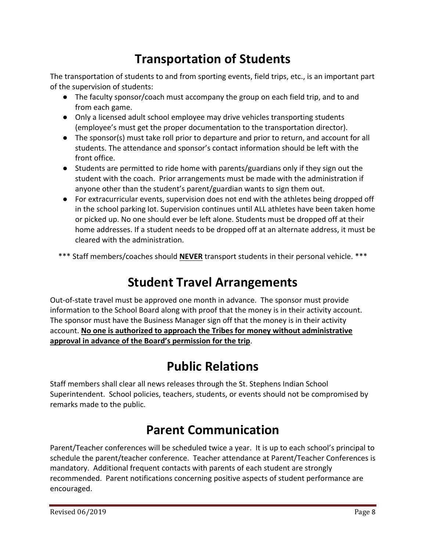## **Transportation of Students**

The transportation of students to and from sporting events, field trips, etc., is an important part of the supervision of students:

- $\bullet$  The faculty sponsor/coach must accompany the group on each field trip, and to and from each game.
- Only a licensed adult school employee may drive vehicles transporting students (employee's must get the proper documentation to the transportation director).
- The sponsor(s) must take roll prior to departure and prior to return, and account for all students. The attendance and sponsor's contact information should be left with the front office.
- Students are permitted to ride home with parents/guardians only if they sign out the student with the coach. Prior arrangements must be made with the administration if anyone other than the student's parent/guardian wants to sign them out.
- For extracurricular events, supervision does not end with the athletes being dropped off in the school parking lot. Supervision continues until ALL athletes have been taken home or picked up. No one should ever be left alone. Students must be dropped off at their home addresses. If a student needs to be dropped off at an alternate address, it must be cleared with the administration.
- \*\*\* Staff members/coaches should **NEVER** transport students in their personal vehicle. \*\*\*

## **Student Travel Arrangements**

Out-of-state travel must be approved one month in advance. The sponsor must provide information to the School Board along with proof that the money is in their activity account. The sponsor must have the Business Manager sign off that the money is in their activity account. No one is authorized to approach the Tribes for money without administrative approval in advance of the Board's permission for the trip.

## **Public\$Relations**

Staff members shall clear all news releases through the St. Stephens Indian School Superintendent. School policies, teachers, students, or events should not be compromised by remarks made to the public.

## **Parent Communication**

Parent/Teacher conferences will be scheduled twice a year. It is up to each school's principal to schedule the parent/teacher conference. Teacher attendance at Parent/Teacher Conferences is mandatory. Additional frequent contacts with parents of each student are strongly recommended. Parent notifications concerning positive aspects of student performance are encouraged.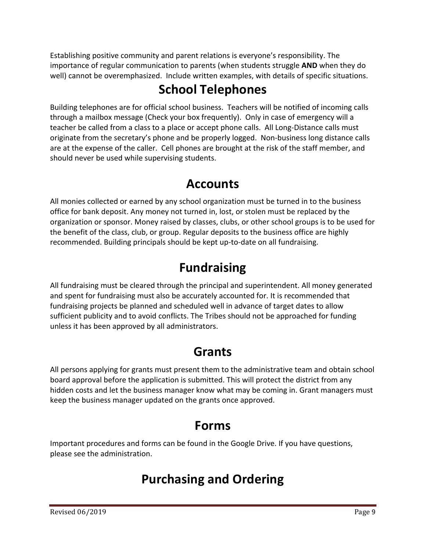Establishing positive community and parent relations is everyone's responsibility. The importance of regular communication to parents (when students struggle **AND** when they do well) cannot be overemphasized. Include written examples, with details of specific situations.

# **School\$Telephones**

Building telephones are for official school business. Teachers will be notified of incoming calls through a mailbox message (Check your box frequently). "Only in case of emergency will a teacher be called from a class to a place or accept phone calls. All Long-Distance calls must originate from the secretary's phone and be properly logged. Non-business long distance calls are at the expense of the caller. Cell phones are brought at the risk of the staff member, and should never be used while supervising students.

## **Accounts**

All monies collected or earned by any school organization must be turned in to the business office for bank deposit. Any money not turned in, lost, or stolen must be replaced by the organization or sponsor. Money raised by classes, clubs, or other school groups is to be used for the benefit of the class, club, or group. Regular deposits to the business office are highly recommended. Building principals should be kept up-to-date on all fundraising.

## **Fundraising**

All fundraising must be cleared through the principal and superintendent. All money generated and spent for fundraising must also be accurately accounted for. It is recommended that fundraising projects be planned and scheduled well in advance of target dates to allow sufficient publicity and to avoid conflicts. The Tribes should not be approached for funding unless it has been approved by all administrators.

## **Grants**

All persons applying for grants must present them to the administrative team and obtain school board approval before the application is submitted. This will protect the district from any hidden costs and let the business manager know what may be coming in. Grant managers must keep the business manager updated on the grants once approved.

## **Forms**

Important procedures and forms can be found in the Google Drive. If you have questions, please see the administration.

# **Purchasing\$and\$Ordering**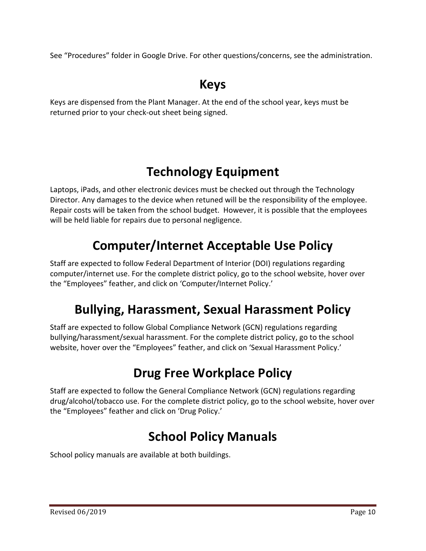See "Procedures" folder in Google Drive. For other questions/concerns, see the administration.

# **Keys**

Keys are dispensed from the Plant Manager. At the end of the school year, keys must be returned prior to your check-out sheet being signed.

# **Technology Equipment**

Laptops, iPads, and other electronic devices must be checked out through the Technology Director. Any damages to the device when retuned will be the responsibility of the employee. Repair costs will be taken from the school budget. However, it is possible that the employees will be held liable for repairs due to personal negligence.

# **Computer/Internet\$Acceptable\$Use\$Policy**

Staff are expected to follow Federal Department of Interior (DOI) regulations regarding computer/internet use. For the complete district policy, go to the school website, hover over the "Employees" feather, and click on 'Computer/Internet Policy.'

## **Bullying,\$Harassment,\$Sexual\$Harassment\$Policy**

Staff are expected to follow Global Compliance Network (GCN) regulations regarding bullying/harassment/sexual harassment. For the complete district policy, go to the school website, hover over the "Employees" feather, and click on 'Sexual Harassment Policy.'

# **Drug Free Workplace Policy**

Staff are expected to follow the General Compliance Network (GCN) regulations regarding drug/alcohol/tobacco use. For the complete district policy, go to the school website, hover over the "Employees" feather and click on 'Drug Policy.'

# **School Policy Manuals**

School policy manuals are available at both buildings.